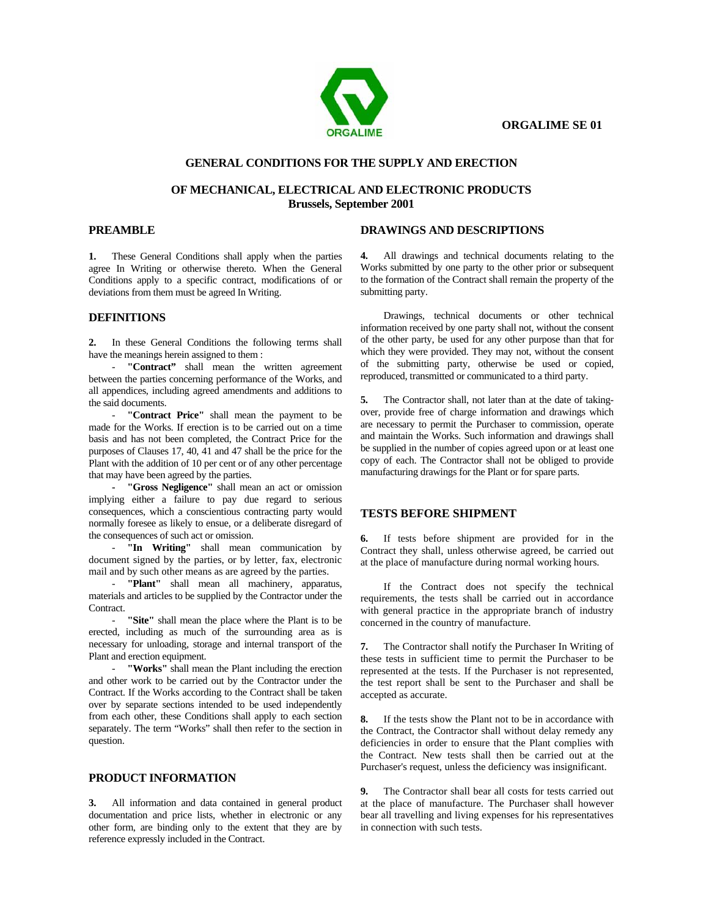

# **GENERAL CONDITIONS FOR THE SUPPLY AND ERECTION**

## **OF MECHANICAL, ELECTRICAL AND ELECTRONIC PRODUCTS Brussels, September 2001**

## **PREAMBLE**

**1.** These General Conditions shall apply when the parties agree In Writing or otherwise thereto. When the General Conditions apply to a specific contract, modifications of or deviations from them must be agreed In Writing.

### **DEFINITIONS**

**2.** In these General Conditions the following terms shall have the meanings herein assigned to them :

- **"Contract"** shall mean the written agreement between the parties concerning performance of the Works, and all appendices, including agreed amendments and additions to the said documents.

- **"Contract Price"** shall mean the payment to be made for the Works. If erection is to be carried out on a time basis and has not been completed, the Contract Price for the purposes of Clauses 17, 40, 41 and 47 shall be the price for the Plant with the addition of 10 per cent or of any other percentage that may have been agreed by the parties.

**- "Gross Negligence"** shall mean an act or omission implying either a failure to pay due regard to serious consequences, which a conscientious contracting party would normally foresee as likely to ensue, or a deliberate disregard of the consequences of such act or omission.

- **"In Writing"** shall mean communication by document signed by the parties, or by letter, fax, electronic mail and by such other means as are agreed by the parties.

- **"Plant"** shall mean all machinery, apparatus, materials and articles to be supplied by the Contractor under the Contract.

"Site" shall mean the place where the Plant is to be erected, including as much of the surrounding area as is necessary for unloading, storage and internal transport of the Plant and erection equipment.

- **"Works"** shall mean the Plant including the erection and other work to be carried out by the Contractor under the Contract. If the Works according to the Contract shall be taken over by separate sections intended to be used independently from each other, these Conditions shall apply to each section separately. The term "Works" shall then refer to the section in question.

## **PRODUCT INFORMATION**

**3.** All information and data contained in general product documentation and price lists, whether in electronic or any other form, are binding only to the extent that they are by reference expressly included in the Contract.

### **DRAWINGS AND DESCRIPTIONS**

**4.** All drawings and technical documents relating to the Works submitted by one party to the other prior or subsequent to the formation of the Contract shall remain the property of the submitting party.

Drawings, technical documents or other technical information received by one party shall not, without the consent of the other party, be used for any other purpose than that for which they were provided. They may not, without the consent of the submitting party, otherwise be used or copied, reproduced, transmitted or communicated to a third party.

**5.** The Contractor shall, not later than at the date of takingover, provide free of charge information and drawings which are necessary to permit the Purchaser to commission, operate and maintain the Works. Such information and drawings shall be supplied in the number of copies agreed upon or at least one copy of each. The Contractor shall not be obliged to provide manufacturing drawings for the Plant or for spare parts.

### **TESTS BEFORE SHIPMENT**

**6.** If tests before shipment are provided for in the Contract they shall, unless otherwise agreed, be carried out at the place of manufacture during normal working hours.

If the Contract does not specify the technical requirements, the tests shall be carried out in accordance with general practice in the appropriate branch of industry concerned in the country of manufacture.

**7.** The Contractor shall notify the Purchaser In Writing of these tests in sufficient time to permit the Purchaser to be represented at the tests. If the Purchaser is not represented, the test report shall be sent to the Purchaser and shall be accepted as accurate.

**8.** If the tests show the Plant not to be in accordance with the Contract, the Contractor shall without delay remedy any deficiencies in order to ensure that the Plant complies with the Contract. New tests shall then be carried out at the Purchaser's request, unless the deficiency was insignificant.

**9.** The Contractor shall bear all costs for tests carried out at the place of manufacture. The Purchaser shall however bear all travelling and living expenses for his representatives in connection with such tests.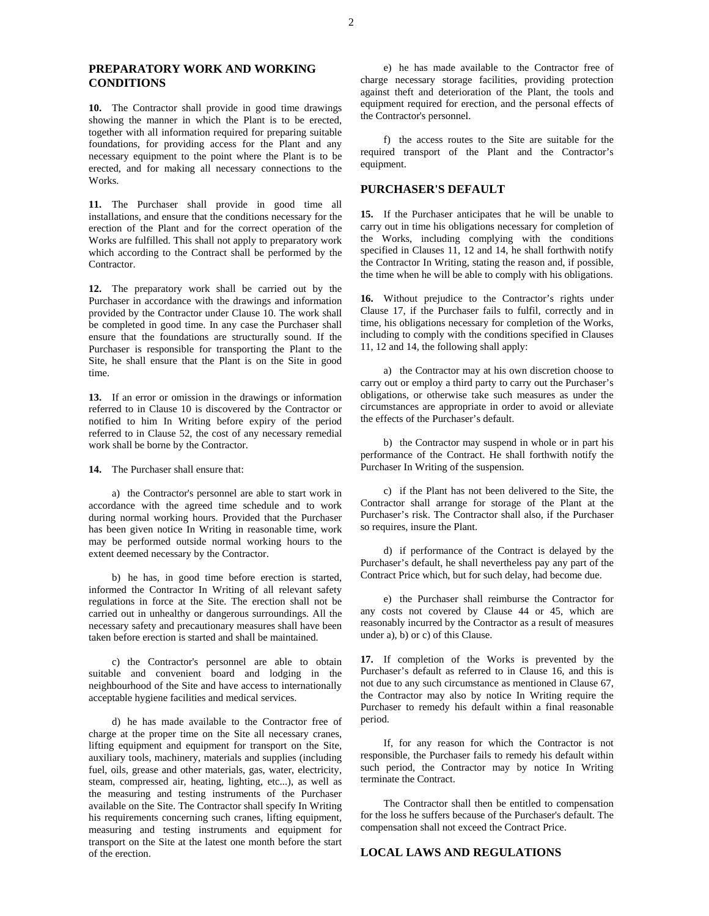#### **PREPARATORY WORK AND WORKING CONDITIONS**

**10.** The Contractor shall provide in good time drawings showing the manner in which the Plant is to be erected, together with all information required for preparing suitable foundations, for providing access for the Plant and any necessary equipment to the point where the Plant is to be erected, and for making all necessary connections to the Works.

**11.** The Purchaser shall provide in good time all installations, and ensure that the conditions necessary for the erection of the Plant and for the correct operation of the Works are fulfilled. This shall not apply to preparatory work which according to the Contract shall be performed by the Contractor.

**12.** The preparatory work shall be carried out by the Purchaser in accordance with the drawings and information provided by the Contractor under Clause 10. The work shall be completed in good time. In any case the Purchaser shall ensure that the foundations are structurally sound. If the Purchaser is responsible for transporting the Plant to the Site, he shall ensure that the Plant is on the Site in good time.

**13.** If an error or omission in the drawings or information referred to in Clause 10 is discovered by the Contractor or notified to him In Writing before expiry of the period referred to in Clause 52, the cost of any necessary remedial work shall be borne by the Contractor.

**14.** The Purchaser shall ensure that:

a) the Contractor's personnel are able to start work in accordance with the agreed time schedule and to work during normal working hours. Provided that the Purchaser has been given notice In Writing in reasonable time, work may be performed outside normal working hours to the extent deemed necessary by the Contractor.

b) he has, in good time before erection is started, informed the Contractor In Writing of all relevant safety regulations in force at the Site. The erection shall not be carried out in unhealthy or dangerous surroundings. All the necessary safety and precautionary measures shall have been taken before erection is started and shall be maintained.

c) the Contractor's personnel are able to obtain suitable and convenient board and lodging in the neighbourhood of the Site and have access to internationally acceptable hygiene facilities and medical services.

d) he has made available to the Contractor free of charge at the proper time on the Site all necessary cranes, lifting equipment and equipment for transport on the Site, auxiliary tools, machinery, materials and supplies (including fuel, oils, grease and other materials, gas, water, electricity, steam, compressed air, heating, lighting, etc...), as well as the measuring and testing instruments of the Purchaser available on the Site. The Contractor shall specify In Writing his requirements concerning such cranes, lifting equipment, measuring and testing instruments and equipment for transport on the Site at the latest one month before the start of the erection.

e) he has made available to the Contractor free of charge necessary storage facilities, providing protection against theft and deterioration of the Plant, the tools and equipment required for erection, and the personal effects of the Contractor's personnel.

f) the access routes to the Site are suitable for the required transport of the Plant and the Contractor's equipment.

#### **PURCHASER'S DEFAULT**

**15.** If the Purchaser anticipates that he will be unable to carry out in time his obligations necessary for completion of the Works, including complying with the conditions specified in Clauses 11, 12 and 14, he shall forthwith notify the Contractor In Writing, stating the reason and, if possible, the time when he will be able to comply with his obligations.

**16.** Without prejudice to the Contractor's rights under Clause 17, if the Purchaser fails to fulfil, correctly and in time, his obligations necessary for completion of the Works, including to comply with the conditions specified in Clauses 11, 12 and 14, the following shall apply:

a) the Contractor may at his own discretion choose to carry out or employ a third party to carry out the Purchaser's obligations, or otherwise take such measures as under the circumstances are appropriate in order to avoid or alleviate the effects of the Purchaser's default.

b) the Contractor may suspend in whole or in part his performance of the Contract. He shall forthwith notify the Purchaser In Writing of the suspension.

c) if the Plant has not been delivered to the Site, the Contractor shall arrange for storage of the Plant at the Purchaser's risk. The Contractor shall also, if the Purchaser so requires, insure the Plant.

d) if performance of the Contract is delayed by the Purchaser's default, he shall nevertheless pay any part of the Contract Price which, but for such delay, had become due.

e) the Purchaser shall reimburse the Contractor for any costs not covered by Clause 44 or 45, which are reasonably incurred by the Contractor as a result of measures under a), b) or c) of this Clause.

**17.** If completion of the Works is prevented by the Purchaser's default as referred to in Clause 16, and this is not due to any such circumstance as mentioned in Clause 67, the Contractor may also by notice In Writing require the Purchaser to remedy his default within a final reasonable period.

If, for any reason for which the Contractor is not responsible, the Purchaser fails to remedy his default within such period, the Contractor may by notice In Writing terminate the Contract.

The Contractor shall then be entitled to compensation for the loss he suffers because of the Purchaser's default. The compensation shall not exceed the Contract Price.

### **LOCAL LAWS AND REGULATIONS**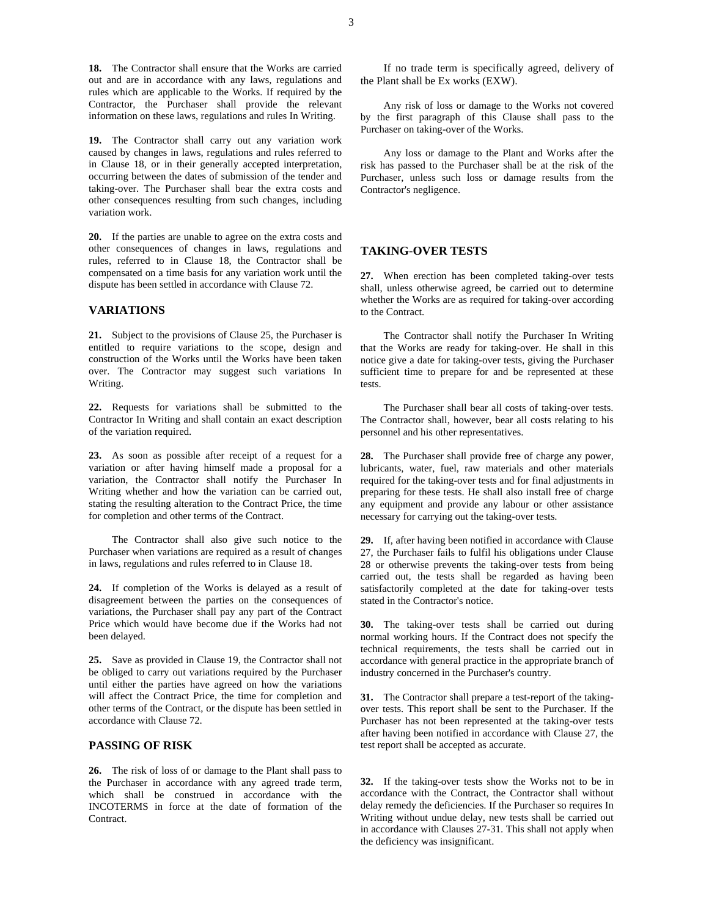**18.** The Contractor shall ensure that the Works are carried out and are in accordance with any laws, regulations and rules which are applicable to the Works. If required by the Contractor, the Purchaser shall provide the relevant information on these laws, regulations and rules In Writing.

**19.** The Contractor shall carry out any variation work caused by changes in laws, regulations and rules referred to in Clause 18, or in their generally accepted interpretation, occurring between the dates of submission of the tender and taking-over. The Purchaser shall bear the extra costs and other consequences resulting from such changes, including variation work.

**20.** If the parties are unable to agree on the extra costs and other consequences of changes in laws, regulations and rules, referred to in Clause 18, the Contractor shall be compensated on a time basis for any variation work until the dispute has been settled in accordance with Clause 72.

#### **VARIATIONS**

**21.** Subject to the provisions of Clause 25, the Purchaser is entitled to require variations to the scope, design and construction of the Works until the Works have been taken over. The Contractor may suggest such variations In Writing.

**22.** Requests for variations shall be submitted to the Contractor In Writing and shall contain an exact description of the variation required.

**23.** As soon as possible after receipt of a request for a variation or after having himself made a proposal for a variation, the Contractor shall notify the Purchaser In Writing whether and how the variation can be carried out, stating the resulting alteration to the Contract Price, the time for completion and other terms of the Contract.

The Contractor shall also give such notice to the Purchaser when variations are required as a result of changes in laws, regulations and rules referred to in Clause 18.

**24.** If completion of the Works is delayed as a result of disagreement between the parties on the consequences of variations, the Purchaser shall pay any part of the Contract Price which would have become due if the Works had not been delayed.

**25.** Save as provided in Clause 19, the Contractor shall not be obliged to carry out variations required by the Purchaser until either the parties have agreed on how the variations will affect the Contract Price, the time for completion and other terms of the Contract, or the dispute has been settled in accordance with Clause 72.

#### **PASSING OF RISK**

**26.** The risk of loss of or damage to the Plant shall pass to the Purchaser in accordance with any agreed trade term, which shall be construed in accordance with the INCOTERMS in force at the date of formation of the Contract.

If no trade term is specifically agreed, delivery of the Plant shall be Ex works (EXW).

Any risk of loss or damage to the Works not covered by the first paragraph of this Clause shall pass to the Purchaser on taking-over of the Works.

Any loss or damage to the Plant and Works after the risk has passed to the Purchaser shall be at the risk of the Purchaser, unless such loss or damage results from the Contractor's negligence.

## **TAKING-OVER TESTS**

**27.** When erection has been completed taking-over tests shall, unless otherwise agreed, be carried out to determine whether the Works are as required for taking-over according to the Contract.

The Contractor shall notify the Purchaser In Writing that the Works are ready for taking-over. He shall in this notice give a date for taking-over tests, giving the Purchaser sufficient time to prepare for and be represented at these tests.

The Purchaser shall bear all costs of taking-over tests. The Contractor shall, however, bear all costs relating to his personnel and his other representatives.

**28.** The Purchaser shall provide free of charge any power, lubricants, water, fuel, raw materials and other materials required for the taking-over tests and for final adjustments in preparing for these tests. He shall also install free of charge any equipment and provide any labour or other assistance necessary for carrying out the taking-over tests.

**29.** If, after having been notified in accordance with Clause 27, the Purchaser fails to fulfil his obligations under Clause 28 or otherwise prevents the taking-over tests from being carried out, the tests shall be regarded as having been satisfactorily completed at the date for taking-over tests stated in the Contractor's notice.

**30.** The taking-over tests shall be carried out during normal working hours. If the Contract does not specify the technical requirements, the tests shall be carried out in accordance with general practice in the appropriate branch of industry concerned in the Purchaser's country.

**31.** The Contractor shall prepare a test-report of the takingover tests. This report shall be sent to the Purchaser. If the Purchaser has not been represented at the taking-over tests after having been notified in accordance with Clause 27, the test report shall be accepted as accurate.

**32.** If the taking-over tests show the Works not to be in accordance with the Contract, the Contractor shall without delay remedy the deficiencies. If the Purchaser so requires In Writing without undue delay, new tests shall be carried out in accordance with Clauses 27-31. This shall not apply when the deficiency was insignificant.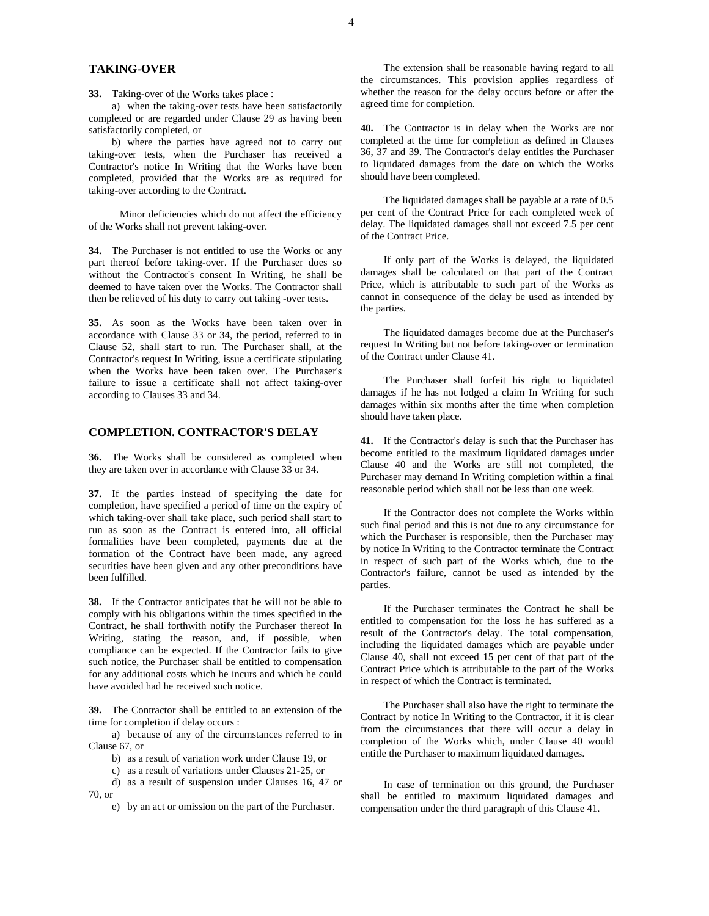### **TAKING-OVER**

**33.** Taking-over of the Works takes place :

a) when the taking-over tests have been satisfactorily completed or are regarded under Clause 29 as having been satisfactorily completed, or

b) where the parties have agreed not to carry out taking-over tests, when the Purchaser has received a Contractor's notice In Writing that the Works have been completed, provided that the Works are as required for taking-over according to the Contract.

Minor deficiencies which do not affect the efficiency of the Works shall not prevent taking-over.

**34.** The Purchaser is not entitled to use the Works or any part thereof before taking-over. If the Purchaser does so without the Contractor's consent In Writing, he shall be deemed to have taken over the Works. The Contractor shall then be relieved of his duty to carry out taking -over tests.

**35.** As soon as the Works have been taken over in accordance with Clause 33 or 34, the period, referred to in Clause 52, shall start to run. The Purchaser shall, at the Contractor's request In Writing, issue a certificate stipulating when the Works have been taken over. The Purchaser's failure to issue a certificate shall not affect taking-over according to Clauses 33 and 34.

## **COMPLETION. CONTRACTOR'S DELAY**

**36.** The Works shall be considered as completed when they are taken over in accordance with Clause 33 or 34.

**37.** If the parties instead of specifying the date for completion, have specified a period of time on the expiry of which taking-over shall take place, such period shall start to run as soon as the Contract is entered into, all official formalities have been completed, payments due at the formation of the Contract have been made, any agreed securities have been given and any other preconditions have been fulfilled.

**38.** If the Contractor anticipates that he will not be able to comply with his obligations within the times specified in the Contract, he shall forthwith notify the Purchaser thereof In Writing, stating the reason, and, if possible, when compliance can be expected. If the Contractor fails to give such notice, the Purchaser shall be entitled to compensation for any additional costs which he incurs and which he could have avoided had he received such notice.

**39.** The Contractor shall be entitled to an extension of the time for completion if delay occurs :

a) because of any of the circumstances referred to in Clause 67, or

b) as a result of variation work under Clause 19, or

c) as a result of variations under Clauses 21-25, or

d) as a result of suspension under Clauses 16, 47 or 70, or

e) by an act or omission on the part of the Purchaser.

The extension shall be reasonable having regard to all the circumstances. This provision applies regardless of whether the reason for the delay occurs before or after the agreed time for completion.

**40.** The Contractor is in delay when the Works are not completed at the time for completion as defined in Clauses 36, 37 and 39. The Contractor's delay entitles the Purchaser to liquidated damages from the date on which the Works should have been completed.

The liquidated damages shall be payable at a rate of 0.5 per cent of the Contract Price for each completed week of delay. The liquidated damages shall not exceed 7.5 per cent of the Contract Price.

If only part of the Works is delayed, the liquidated damages shall be calculated on that part of the Contract Price, which is attributable to such part of the Works as cannot in consequence of the delay be used as intended by the parties.

The liquidated damages become due at the Purchaser's request In Writing but not before taking-over or termination of the Contract under Clause 41.

The Purchaser shall forfeit his right to liquidated damages if he has not lodged a claim In Writing for such damages within six months after the time when completion should have taken place.

**41.** If the Contractor's delay is such that the Purchaser has become entitled to the maximum liquidated damages under Clause 40 and the Works are still not completed, the Purchaser may demand In Writing completion within a final reasonable period which shall not be less than one week.

If the Contractor does not complete the Works within such final period and this is not due to any circumstance for which the Purchaser is responsible, then the Purchaser may by notice In Writing to the Contractor terminate the Contract in respect of such part of the Works which, due to the Contractor's failure, cannot be used as intended by the parties.

If the Purchaser terminates the Contract he shall be entitled to compensation for the loss he has suffered as a result of the Contractor's delay. The total compensation, including the liquidated damages which are payable under Clause 40, shall not exceed 15 per cent of that part of the Contract Price which is attributable to the part of the Works in respect of which the Contract is terminated.

The Purchaser shall also have the right to terminate the Contract by notice In Writing to the Contractor, if it is clear from the circumstances that there will occur a delay in completion of the Works which, under Clause 40 would entitle the Purchaser to maximum liquidated damages.

In case of termination on this ground, the Purchaser shall be entitled to maximum liquidated damages and compensation under the third paragraph of this Clause 41.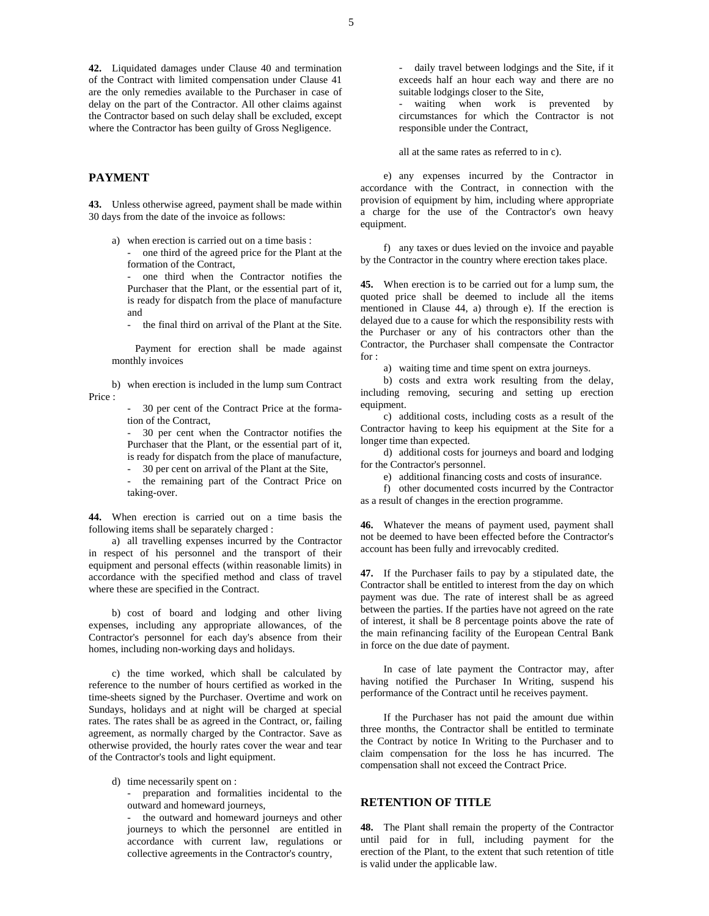**42.** Liquidated damages under Clause 40 and termination of the Contract with limited compensation under Clause 41 are the only remedies available to the Purchaser in case of delay on the part of the Contractor. All other claims against the Contractor based on such delay shall be excluded, except where the Contractor has been guilty of Gross Negligence.

#### **PAYMENT**

**43.** Unless otherwise agreed, payment shall be made within 30 days from the date of the invoice as follows:

a) when erection is carried out on a time basis :

- one third of the agreed price for the Plant at the formation of the Contract,

- one third when the Contractor notifies the Purchaser that the Plant, or the essential part of it, is ready for dispatch from the place of manufacture and

- the final third on arrival of the Plant at the Site.

Payment for erection shall be made against monthly invoices

b) when erection is included in the lump sum Contract Price :

> - 30 per cent of the Contract Price at the formation of the Contract,

> - 30 per cent when the Contractor notifies the Purchaser that the Plant, or the essential part of it, is ready for dispatch from the place of manufacture,

- 30 per cent on arrival of the Plant at the Site,

the remaining part of the Contract Price on taking-over.

**44.** When erection is carried out on a time basis the following items shall be separately charged :

a) all travelling expenses incurred by the Contractor in respect of his personnel and the transport of their equipment and personal effects (within reasonable limits) in accordance with the specified method and class of travel where these are specified in the Contract.

b) cost of board and lodging and other living expenses, including any appropriate allowances, of the Contractor's personnel for each day's absence from their homes, including non-working days and holidays.

c) the time worked, which shall be calculated by reference to the number of hours certified as worked in the time-sheets signed by the Purchaser. Overtime and work on Sundays, holidays and at night will be charged at special rates. The rates shall be as agreed in the Contract, or, failing agreement, as normally charged by the Contractor. Save as otherwise provided, the hourly rates cover the wear and tear of the Contractor's tools and light equipment.

d) time necessarily spent on :

- preparation and formalities incidental to the outward and homeward journeys,

- the outward and homeward journeys and other journeys to which the personnel are entitled in accordance with current law, regulations or collective agreements in the Contractor's country,

- daily travel between lodgings and the Site, if it exceeds half an hour each way and there are no suitable lodgings closer to the Site,

waiting when work is prevented by circumstances for which the Contractor is not responsible under the Contract,

all at the same rates as referred to in c).

e) any expenses incurred by the Contractor in accordance with the Contract, in connection with the provision of equipment by him, including where appropriate a charge for the use of the Contractor's own heavy equipment.

f) any taxes or dues levied on the invoice and payable by the Contractor in the country where erection takes place.

**45.** When erection is to be carried out for a lump sum, the quoted price shall be deemed to include all the items mentioned in Clause 44, a) through e). If the erection is delayed due to a cause for which the responsibility rests with the Purchaser or any of his contractors other than the Contractor, the Purchaser shall compensate the Contractor for :

a) waiting time and time spent on extra journeys.

b) costs and extra work resulting from the delay, including removing, securing and setting up erection equipment.

c) additional costs, including costs as a result of the Contractor having to keep his equipment at the Site for a longer time than expected.

d) additional costs for journeys and board and lodging for the Contractor's personnel.

e) additional financing costs and costs of insurance.

f) other documented costs incurred by the Contractor as a result of changes in the erection programme.

**46.** Whatever the means of payment used, payment shall not be deemed to have been effected before the Contractor's account has been fully and irrevocably credited.

**47.** If the Purchaser fails to pay by a stipulated date, the Contractor shall be entitled to interest from the day on which payment was due. The rate of interest shall be as agreed between the parties. If the parties have not agreed on the rate of interest, it shall be 8 percentage points above the rate of the main refinancing facility of the European Central Bank in force on the due date of payment.

In case of late payment the Contractor may, after having notified the Purchaser In Writing, suspend his performance of the Contract until he receives payment.

If the Purchaser has not paid the amount due within three months, the Contractor shall be entitled to terminate the Contract by notice In Writing to the Purchaser and to claim compensation for the loss he has incurred. The compensation shall not exceed the Contract Price.

## **RETENTION OF TITLE**

**48.** The Plant shall remain the property of the Contractor until paid for in full, including payment for the erection of the Plant, to the extent that such retention of title is valid under the applicable law.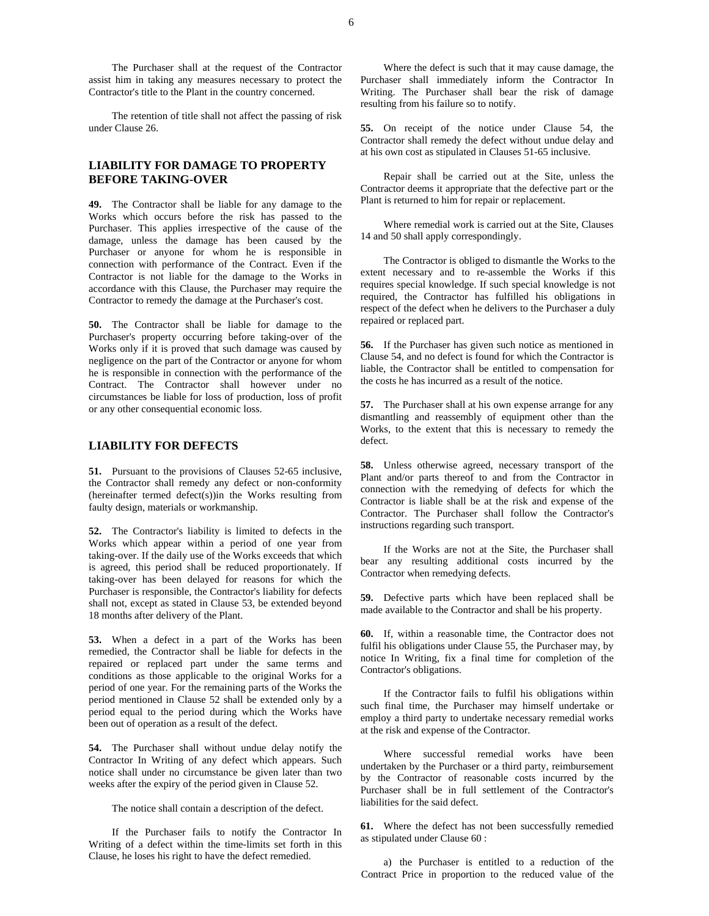The Purchaser shall at the request of the Contractor assist him in taking any measures necessary to protect the Contractor's title to the Plant in the country concerned.

The retention of title shall not affect the passing of risk under Clause 26.

## **LIABILITY FOR DAMAGE TO PROPERTY BEFORE TAKING-OVER**

**49.** The Contractor shall be liable for any damage to the Works which occurs before the risk has passed to the Purchaser. This applies irrespective of the cause of the damage, unless the damage has been caused by the Purchaser or anyone for whom he is responsible in connection with performance of the Contract. Even if the Contractor is not liable for the damage to the Works in accordance with this Clause, the Purchaser may require the Contractor to remedy the damage at the Purchaser's cost.

**50.** The Contractor shall be liable for damage to the Purchaser's property occurring before taking-over of the Works only if it is proved that such damage was caused by negligence on the part of the Contractor or anyone for whom he is responsible in connection with the performance of the Contract. The Contractor shall however under no circumstances be liable for loss of production, loss of profit or any other consequential economic loss.

#### **LIABILITY FOR DEFECTS**

**51.** Pursuant to the provisions of Clauses 52-65 inclusive, the Contractor shall remedy any defect or non-conformity (hereinafter termed defect(s))in the Works resulting from faulty design, materials or workmanship.

**52.** The Contractor's liability is limited to defects in the Works which appear within a period of one year from taking-over. If the daily use of the Works exceeds that which is agreed, this period shall be reduced proportionately. If taking-over has been delayed for reasons for which the Purchaser is responsible, the Contractor's liability for defects shall not, except as stated in Clause 53, be extended beyond 18 months after delivery of the Plant.

**53.** When a defect in a part of the Works has been remedied, the Contractor shall be liable for defects in the repaired or replaced part under the same terms and conditions as those applicable to the original Works for a period of one year. For the remaining parts of the Works the period mentioned in Clause 52 shall be extended only by a period equal to the period during which the Works have been out of operation as a result of the defect.

**54.** The Purchaser shall without undue delay notify the Contractor In Writing of any defect which appears. Such notice shall under no circumstance be given later than two weeks after the expiry of the period given in Clause 52.

The notice shall contain a description of the defect.

If the Purchaser fails to notify the Contractor In Writing of a defect within the time-limits set forth in this Clause, he loses his right to have the defect remedied.

Where the defect is such that it may cause damage, the Purchaser shall immediately inform the Contractor In Writing. The Purchaser shall bear the risk of damage resulting from his failure so to notify.

**55.** On receipt of the notice under Clause 54, the Contractor shall remedy the defect without undue delay and at his own cost as stipulated in Clauses 51-65 inclusive.

Repair shall be carried out at the Site, unless the Contractor deems it appropriate that the defective part or the Plant is returned to him for repair or replacement.

Where remedial work is carried out at the Site, Clauses 14 and 50 shall apply correspondingly.

The Contractor is obliged to dismantle the Works to the extent necessary and to re-assemble the Works if this requires special knowledge. If such special knowledge is not required, the Contractor has fulfilled his obligations in respect of the defect when he delivers to the Purchaser a duly repaired or replaced part.

**56.** If the Purchaser has given such notice as mentioned in Clause 54, and no defect is found for which the Contractor is liable, the Contractor shall be entitled to compensation for the costs he has incurred as a result of the notice.

**57.** The Purchaser shall at his own expense arrange for any dismantling and reassembly of equipment other than the Works, to the extent that this is necessary to remedy the defect.

**58.** Unless otherwise agreed, necessary transport of the Plant and/or parts thereof to and from the Contractor in connection with the remedying of defects for which the Contractor is liable shall be at the risk and expense of the Contractor. The Purchaser shall follow the Contractor's instructions regarding such transport.

If the Works are not at the Site, the Purchaser shall bear any resulting additional costs incurred by the Contractor when remedying defects.

**59.** Defective parts which have been replaced shall be made available to the Contractor and shall be his property.

**60.** If, within a reasonable time, the Contractor does not fulfil his obligations under Clause 55, the Purchaser may, by notice In Writing, fix a final time for completion of the Contractor's obligations.

If the Contractor fails to fulfil his obligations within such final time, the Purchaser may himself undertake or employ a third party to undertake necessary remedial works at the risk and expense of the Contractor.

Where successful remedial works have been undertaken by the Purchaser or a third party, reimbursement by the Contractor of reasonable costs incurred by the Purchaser shall be in full settlement of the Contractor's liabilities for the said defect.

**61.** Where the defect has not been successfully remedied as stipulated under Clause 60 :

a) the Purchaser is entitled to a reduction of the Contract Price in proportion to the reduced value of the

6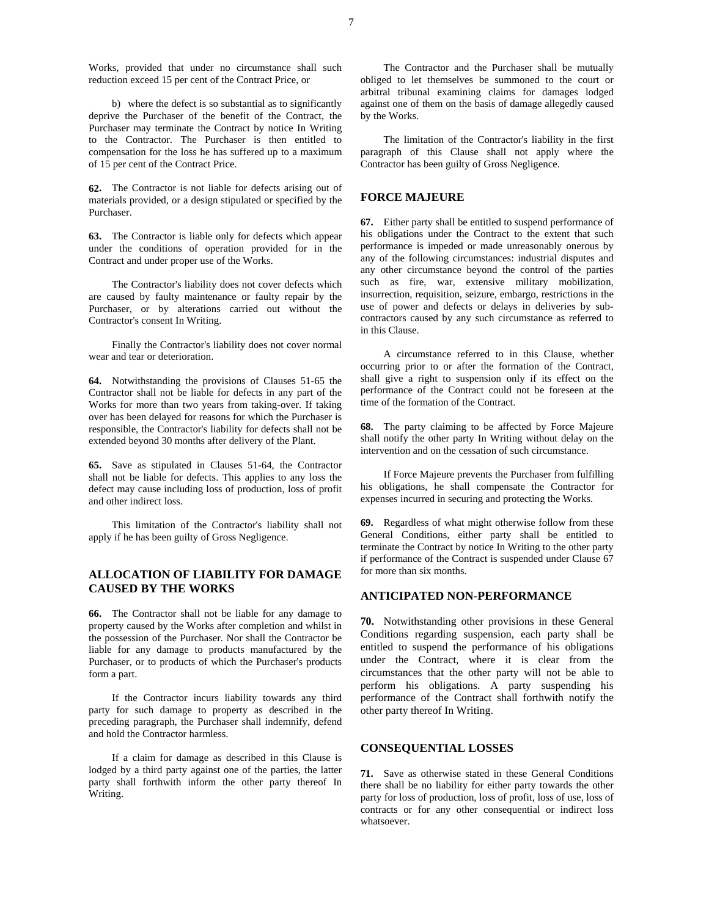Works, provided that under no circumstance shall such reduction exceed 15 per cent of the Contract Price, or

b) where the defect is so substantial as to significantly deprive the Purchaser of the benefit of the Contract, the Purchaser may terminate the Contract by notice In Writing to the Contractor. The Purchaser is then entitled to compensation for the loss he has suffered up to a maximum of 15 per cent of the Contract Price.

**62.** The Contractor is not liable for defects arising out of materials provided, or a design stipulated or specified by the Purchaser.

**63.** The Contractor is liable only for defects which appear under the conditions of operation provided for in the Contract and under proper use of the Works.

The Contractor's liability does not cover defects which are caused by faulty maintenance or faulty repair by the Purchaser, or by alterations carried out without the Contractor's consent In Writing.

Finally the Contractor's liability does not cover normal wear and tear or deterioration.

**64.** Notwithstanding the provisions of Clauses 51-65 the Contractor shall not be liable for defects in any part of the Works for more than two years from taking-over. If taking over has been delayed for reasons for which the Purchaser is responsible, the Contractor's liability for defects shall not be extended beyond 30 months after delivery of the Plant.

**65.** Save as stipulated in Clauses 51-64, the Contractor shall not be liable for defects. This applies to any loss the defect may cause including loss of production, loss of profit and other indirect loss.

This limitation of the Contractor's liability shall not apply if he has been guilty of Gross Negligence.

## **ALLOCATION OF LIABILITY FOR DAMAGE CAUSED BY THE WORKS**

**66.** The Contractor shall not be liable for any damage to property caused by the Works after completion and whilst in the possession of the Purchaser. Nor shall the Contractor be liable for any damage to products manufactured by the Purchaser, or to products of which the Purchaser's products form a part.

If the Contractor incurs liability towards any third party for such damage to property as described in the preceding paragraph, the Purchaser shall indemnify, defend and hold the Contractor harmless.

If a claim for damage as described in this Clause is lodged by a third party against one of the parties, the latter party shall forthwith inform the other party thereof In Writing.

The Contractor and the Purchaser shall be mutually obliged to let themselves be summoned to the court or arbitral tribunal examining claims for damages lodged against one of them on the basis of damage allegedly caused by the Works.

The limitation of the Contractor's liability in the first paragraph of this Clause shall not apply where the Contractor has been guilty of Gross Negligence.

## **FORCE MAJEURE**

**67.** Either party shall be entitled to suspend performance of his obligations under the Contract to the extent that such performance is impeded or made unreasonably onerous by any of the following circumstances: industrial disputes and any other circumstance beyond the control of the parties such as fire, war, extensive military mobilization, insurrection, requisition, seizure, embargo, restrictions in the use of power and defects or delays in deliveries by subcontractors caused by any such circumstance as referred to in this Clause.

A circumstance referred to in this Clause, whether occurring prior to or after the formation of the Contract, shall give a right to suspension only if its effect on the performance of the Contract could not be foreseen at the time of the formation of the Contract.

**68.** The party claiming to be affected by Force Majeure shall notify the other party In Writing without delay on the intervention and on the cessation of such circumstance.

If Force Majeure prevents the Purchaser from fulfilling his obligations, he shall compensate the Contractor for expenses incurred in securing and protecting the Works.

**69.** Regardless of what might otherwise follow from these General Conditions, either party shall be entitled to terminate the Contract by notice In Writing to the other party if performance of the Contract is suspended under Clause 67 for more than six months.

### **ANTICIPATED NON-PERFORMANCE**

**70.** Notwithstanding other provisions in these General Conditions regarding suspension, each party shall be entitled to suspend the performance of his obligations under the Contract, where it is clear from the circumstances that the other party will not be able to perform his obligations. A party suspending his performance of the Contract shall forthwith notify the other party thereof In Writing.

#### **CONSEQUENTIAL LOSSES**

**71.** Save as otherwise stated in these General Conditions there shall be no liability for either party towards the other party for loss of production, loss of profit, loss of use, loss of contracts or for any other consequential or indirect loss whatsoever.